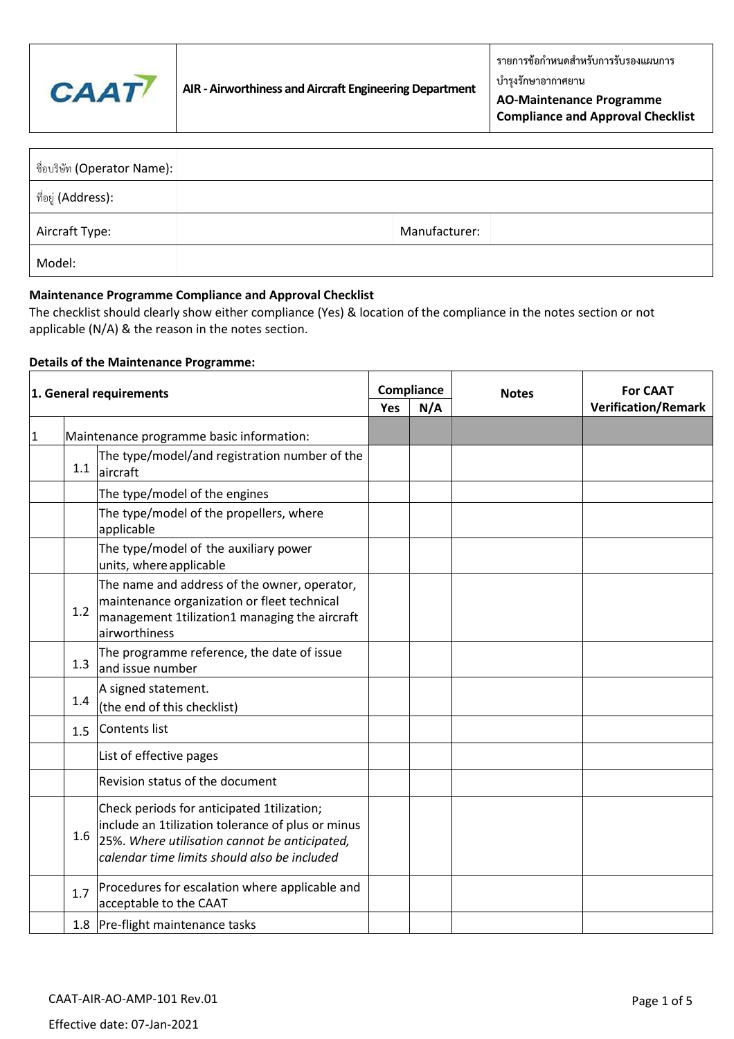

**บ ารุงรักษาอากาศยาน**

**AO-Maintenance Programme Compliance and Approval Checklist**

| ู ชื่อบริษัท (Operator Name): |               |
|-------------------------------|---------------|
| ี ที่อยู่ (Address):          |               |
| Aircraft Type:                | Manufacturer: |
| Model:                        |               |

## **Maintenance Programme Compliance and Approval Checklist**

The checklist should clearly show either compliance (Yes) & location of the compliance in the notes section or not applicable (N/A) & the reason in the notes section.

# **Details of the Maintenance Programme:**

| 1. General requirements |     | Compliance                                                                                                                                                                                       |  | <b>Notes</b> | <b>For CAAT</b> |                            |
|-------------------------|-----|--------------------------------------------------------------------------------------------------------------------------------------------------------------------------------------------------|--|--------------|-----------------|----------------------------|
|                         |     |                                                                                                                                                                                                  |  | N/A          |                 | <b>Verification/Remark</b> |
| 1                       |     | Maintenance programme basic information:                                                                                                                                                         |  |              |                 |                            |
|                         | 1.1 | The type/model/and registration number of the<br>aircraft                                                                                                                                        |  |              |                 |                            |
|                         |     | The type/model of the engines                                                                                                                                                                    |  |              |                 |                            |
|                         |     | The type/model of the propellers, where<br>applicable                                                                                                                                            |  |              |                 |                            |
|                         |     | The type/model of the auxiliary power<br>units, where applicable                                                                                                                                 |  |              |                 |                            |
|                         | 1.2 | The name and address of the owner, operator,<br>maintenance organization or fleet technical<br>management 1tilization1 managing the aircraft<br>airworthiness                                    |  |              |                 |                            |
|                         | 1.3 | The programme reference, the date of issue<br>land issue number                                                                                                                                  |  |              |                 |                            |
|                         | 1.4 | A signed statement.<br>(the end of this checklist)                                                                                                                                               |  |              |                 |                            |
|                         | 1.5 | Contents list                                                                                                                                                                                    |  |              |                 |                            |
|                         |     | List of effective pages                                                                                                                                                                          |  |              |                 |                            |
|                         |     | Revision status of the document                                                                                                                                                                  |  |              |                 |                            |
|                         | 1.6 | Check periods for anticipated 1tilization;<br>include an 1tilization tolerance of plus or minus<br>25%. Where utilisation cannot be anticipated,<br>calendar time limits should also be included |  |              |                 |                            |
|                         | 1.7 | Procedures for escalation where applicable and<br>acceptable to the CAAT                                                                                                                         |  |              |                 |                            |
|                         |     | 1.8 Pre-flight maintenance tasks                                                                                                                                                                 |  |              |                 |                            |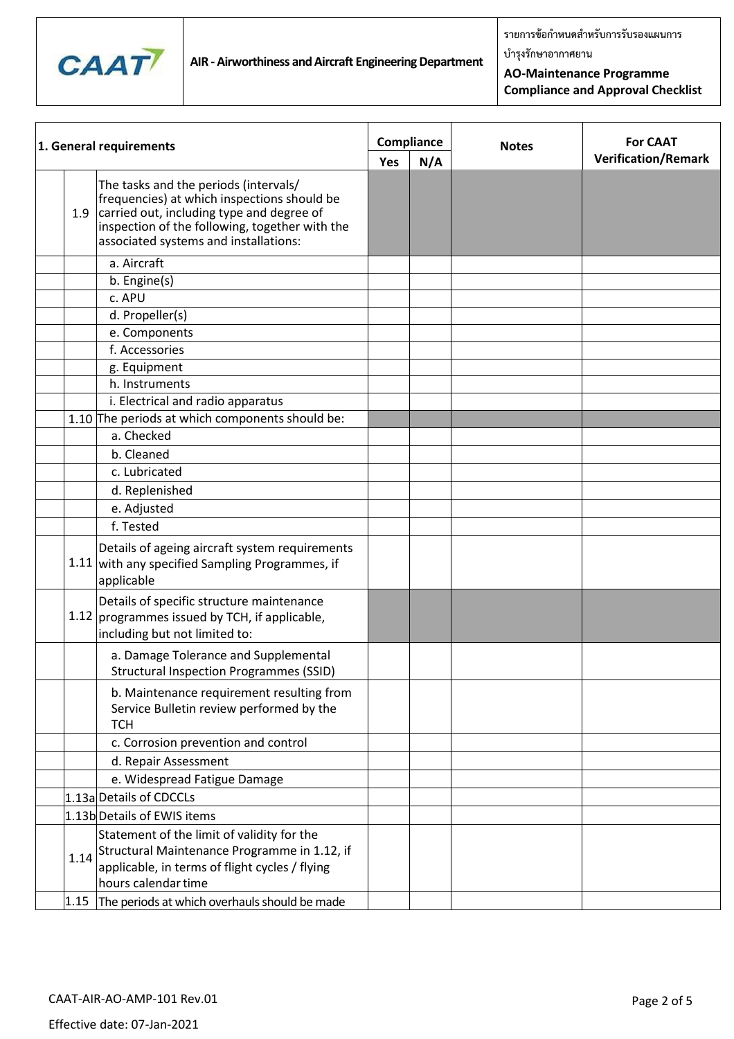

**รายการข้อก าหนดส าหรับการรับรองแผนการ**

**บ ารุงรักษาอากาศยาน**

**AO-Maintenance Programme Compliance and Approval Checklist**

| 1. General requirements |                                                                                                                                                                                                                              |  | Compliance | <b>Notes</b> | <b>For CAAT</b>            |
|-------------------------|------------------------------------------------------------------------------------------------------------------------------------------------------------------------------------------------------------------------------|--|------------|--------------|----------------------------|
|                         |                                                                                                                                                                                                                              |  | N/A        |              | <b>Verification/Remark</b> |
| 1.9                     | The tasks and the periods (intervals/<br>frequencies) at which inspections should be<br>carried out, including type and degree of<br>inspection of the following, together with the<br>associated systems and installations: |  |            |              |                            |
|                         | a. Aircraft                                                                                                                                                                                                                  |  |            |              |                            |
|                         | b. Engine(s)                                                                                                                                                                                                                 |  |            |              |                            |
|                         | c. APU                                                                                                                                                                                                                       |  |            |              |                            |
|                         | d. Propeller(s)                                                                                                                                                                                                              |  |            |              |                            |
|                         | e. Components                                                                                                                                                                                                                |  |            |              |                            |
|                         | f. Accessories                                                                                                                                                                                                               |  |            |              |                            |
|                         | g. Equipment                                                                                                                                                                                                                 |  |            |              |                            |
|                         | h. Instruments                                                                                                                                                                                                               |  |            |              |                            |
|                         | i. Electrical and radio apparatus                                                                                                                                                                                            |  |            |              |                            |
|                         | 1.10 The periods at which components should be:                                                                                                                                                                              |  |            |              |                            |
|                         | a. Checked                                                                                                                                                                                                                   |  |            |              |                            |
|                         | b. Cleaned                                                                                                                                                                                                                   |  |            |              |                            |
|                         | c. Lubricated                                                                                                                                                                                                                |  |            |              |                            |
|                         | d. Replenished                                                                                                                                                                                                               |  |            |              |                            |
|                         | e. Adjusted                                                                                                                                                                                                                  |  |            |              |                            |
|                         | f. Tested                                                                                                                                                                                                                    |  |            |              |                            |
|                         | Details of ageing aircraft system requirements<br>1.11 with any specified Sampling Programmes, if<br>applicable                                                                                                              |  |            |              |                            |
|                         | Details of specific structure maintenance<br>1.12 programmes issued by TCH, if applicable,<br>including but not limited to:                                                                                                  |  |            |              |                            |
|                         | a. Damage Tolerance and Supplemental<br>Structural Inspection Programmes (SSID)                                                                                                                                              |  |            |              |                            |
|                         | b. Maintenance requirement resulting from<br>Service Bulletin review performed by the<br><b>TCH</b>                                                                                                                          |  |            |              |                            |
|                         | c. Corrosion prevention and control                                                                                                                                                                                          |  |            |              |                            |
|                         | d. Repair Assessment                                                                                                                                                                                                         |  |            |              |                            |
|                         | e. Widespread Fatigue Damage                                                                                                                                                                                                 |  |            |              |                            |
|                         | 1.13a Details of CDCCLs                                                                                                                                                                                                      |  |            |              |                            |
|                         | 1.13b Details of EWIS items                                                                                                                                                                                                  |  |            |              |                            |
|                         | Statement of the limit of validity for the                                                                                                                                                                                   |  |            |              |                            |
|                         | 1.14 Structural Maintenance Programme in 1.12, if<br>applicable, in terms of flight cycles / flying<br>hours calendar time                                                                                                   |  |            |              |                            |
| 1.15                    | The periods at which overhauls should be made                                                                                                                                                                                |  |            |              |                            |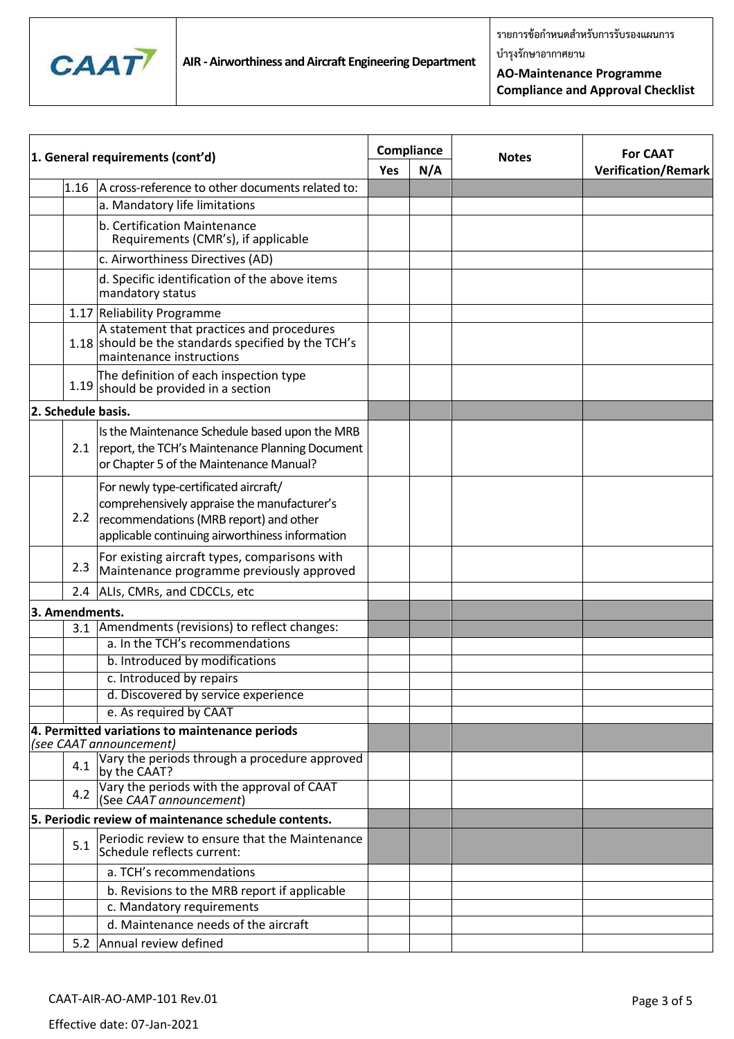

**บ ารุงรักษาอากาศยาน**

**AO-Maintenance Programme Compliance and Approval Checklist**

| 1. General requirements (cont'd) |                                                                                                                                                                                   | Compliance |     | <b>Notes</b> | <b>For CAAT</b>            |  |
|----------------------------------|-----------------------------------------------------------------------------------------------------------------------------------------------------------------------------------|------------|-----|--------------|----------------------------|--|
|                                  |                                                                                                                                                                                   |            | N/A |              | <b>Verification/Remark</b> |  |
| 1.16                             | A cross-reference to other documents related to:                                                                                                                                  |            |     |              |                            |  |
|                                  | a. Mandatory life limitations                                                                                                                                                     |            |     |              |                            |  |
|                                  | b. Certification Maintenance<br>Requirements (CMR's), if applicable                                                                                                               |            |     |              |                            |  |
|                                  | c. Airworthiness Directives (AD)                                                                                                                                                  |            |     |              |                            |  |
|                                  | d. Specific identification of the above items<br>mandatory status                                                                                                                 |            |     |              |                            |  |
|                                  | 1.17 Reliability Programme                                                                                                                                                        |            |     |              |                            |  |
|                                  | A statement that practices and procedures<br>1.18 should be the standards specified by the TCH's<br>maintenance instructions                                                      |            |     |              |                            |  |
|                                  | The definition of each inspection type<br>$1.19$ should be provided in a section                                                                                                  |            |     |              |                            |  |
| 2. Schedule basis.               |                                                                                                                                                                                   |            |     |              |                            |  |
| 2.1                              | Is the Maintenance Schedule based upon the MRB<br>report, the TCH's Maintenance Planning Document<br>or Chapter 5 of the Maintenance Manual?                                      |            |     |              |                            |  |
| 2.2                              | For newly type-certificated aircraft/<br>comprehensively appraise the manufacturer's<br>recommendations (MRB report) and other<br>applicable continuing airworthiness information |            |     |              |                            |  |
| 2.3                              | For existing aircraft types, comparisons with<br>Maintenance programme previously approved                                                                                        |            |     |              |                            |  |
| 2.4                              | ALIs, CMRs, and CDCCLs, etc                                                                                                                                                       |            |     |              |                            |  |
| 3. Amendments.                   |                                                                                                                                                                                   |            |     |              |                            |  |
| 3.1                              | Amendments (revisions) to reflect changes:                                                                                                                                        |            |     |              |                            |  |
|                                  | a. In the TCH's recommendations                                                                                                                                                   |            |     |              |                            |  |
|                                  | b. Introduced by modifications                                                                                                                                                    |            |     |              |                            |  |
|                                  | c. Introduced by repairs                                                                                                                                                          |            |     |              |                            |  |
|                                  | d. Discovered by service experience                                                                                                                                               |            |     |              |                            |  |
|                                  | e. As required by CAAT                                                                                                                                                            |            |     |              |                            |  |
|                                  | 4. Permitted variations to maintenance periods<br>(see CAAT announcement)                                                                                                         |            |     |              |                            |  |
| 4.1                              | Vary the periods through a procedure approved<br>by the CAAT?                                                                                                                     |            |     |              |                            |  |
| 4.2                              | Vary the periods with the approval of CAAT<br>(See CAAT announcement)                                                                                                             |            |     |              |                            |  |
|                                  | 5. Periodic review of maintenance schedule contents.                                                                                                                              |            |     |              |                            |  |
| 5.1                              | Periodic review to ensure that the Maintenance<br>Schedule reflects current:                                                                                                      |            |     |              |                            |  |
|                                  | a. TCH's recommendations                                                                                                                                                          |            |     |              |                            |  |
|                                  | b. Revisions to the MRB report if applicable                                                                                                                                      |            |     |              |                            |  |
|                                  | c. Mandatory requirements                                                                                                                                                         |            |     |              |                            |  |
|                                  | d. Maintenance needs of the aircraft                                                                                                                                              |            |     |              |                            |  |
|                                  | 5.2 Annual review defined                                                                                                                                                         |            |     |              |                            |  |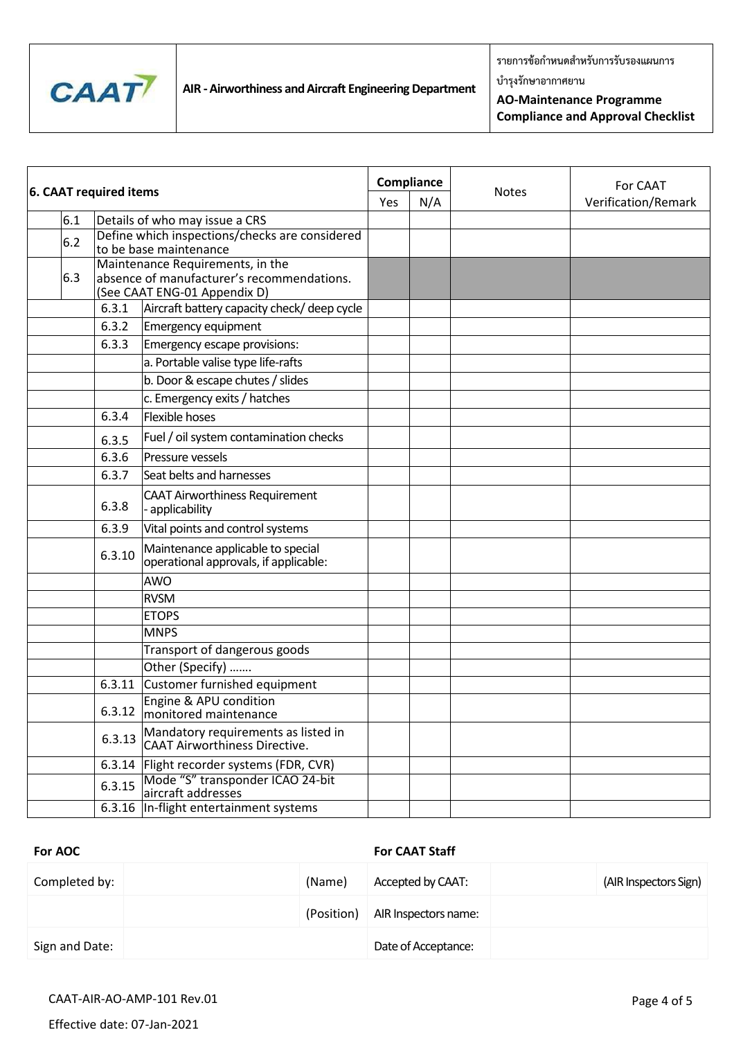

**รายการข้อก าหนดส าหรับการรับรองแผนการ**

**บ ารุงรักษาอากาศยาน**

**AO-Maintenance Programme Compliance and Approval Checklist**

|  | <b>6. CAAT required items</b> |                                                                          | Compliance                                                                                                     |     |              | For CAAT            |  |
|--|-------------------------------|--------------------------------------------------------------------------|----------------------------------------------------------------------------------------------------------------|-----|--------------|---------------------|--|
|  |                               |                                                                          | Yes                                                                                                            | N/A | <b>Notes</b> | Verification/Remark |  |
|  | 6.1                           | Details of who may issue a CRS                                           |                                                                                                                |     |              |                     |  |
|  | 6.2                           | Define which inspections/checks are considered<br>to be base maintenance |                                                                                                                |     |              |                     |  |
|  | 6.3                           |                                                                          | Maintenance Requirements, in the<br>absence of manufacturer's recommendations.<br>(See CAAT ENG-01 Appendix D) |     |              |                     |  |
|  |                               | 6.3.1                                                                    | Aircraft battery capacity check/ deep cycle                                                                    |     |              |                     |  |
|  |                               | 6.3.2                                                                    | <b>Emergency equipment</b>                                                                                     |     |              |                     |  |
|  |                               | 6.3.3                                                                    | Emergency escape provisions:                                                                                   |     |              |                     |  |
|  |                               |                                                                          | a. Portable valise type life-rafts                                                                             |     |              |                     |  |
|  |                               |                                                                          | b. Door & escape chutes / slides                                                                               |     |              |                     |  |
|  |                               |                                                                          | c. Emergency exits / hatches                                                                                   |     |              |                     |  |
|  |                               | 6.3.4                                                                    | <b>Flexible hoses</b>                                                                                          |     |              |                     |  |
|  |                               | 6.3.5                                                                    | Fuel / oil system contamination checks                                                                         |     |              |                     |  |
|  |                               | 6.3.6                                                                    | Pressure vessels                                                                                               |     |              |                     |  |
|  |                               | 6.3.7                                                                    | Seat belts and harnesses                                                                                       |     |              |                     |  |
|  |                               | 6.3.8                                                                    | <b>CAAT Airworthiness Requirement</b><br>- applicability                                                       |     |              |                     |  |
|  |                               | 6.3.9                                                                    | Vital points and control systems                                                                               |     |              |                     |  |
|  |                               | 6.3.10                                                                   | Maintenance applicable to special<br>operational approvals, if applicable:                                     |     |              |                     |  |
|  |                               |                                                                          | <b>AWO</b>                                                                                                     |     |              |                     |  |
|  |                               |                                                                          | <b>RVSM</b>                                                                                                    |     |              |                     |  |
|  |                               |                                                                          | <b>ETOPS</b>                                                                                                   |     |              |                     |  |
|  |                               |                                                                          | <b>MNPS</b>                                                                                                    |     |              |                     |  |
|  |                               |                                                                          | Transport of dangerous goods                                                                                   |     |              |                     |  |
|  |                               |                                                                          | Other (Specify)                                                                                                |     |              |                     |  |
|  |                               | 6.3.11                                                                   | Customer furnished equipment                                                                                   |     |              |                     |  |
|  |                               |                                                                          | Engine & APU condition<br>6.3.12 monitored maintenance                                                         |     |              |                     |  |
|  |                               | 6.3.13                                                                   | Mandatory requirements as listed in<br><b>CAAT Airworthiness Directive.</b>                                    |     |              |                     |  |
|  |                               |                                                                          | 6.3.14   Flight recorder systems (FDR, CVR)                                                                    |     |              |                     |  |
|  |                               | 6.3.15                                                                   | Mode "S" transponder ICAO 24-bit<br>aircraft addresses                                                         |     |              |                     |  |
|  |                               | 6.3.16                                                                   | In-flight entertainment systems                                                                                |     |              |                     |  |

### **For AOC For CAAT Staff**

| Completed by:  | (Name)     | Accepted by CAAT:    | (AIR Inspectors Sign) |
|----------------|------------|----------------------|-----------------------|
|                | (Position) | AIR Inspectors name: |                       |
| Sign and Date: |            | Date of Acceptance:  |                       |